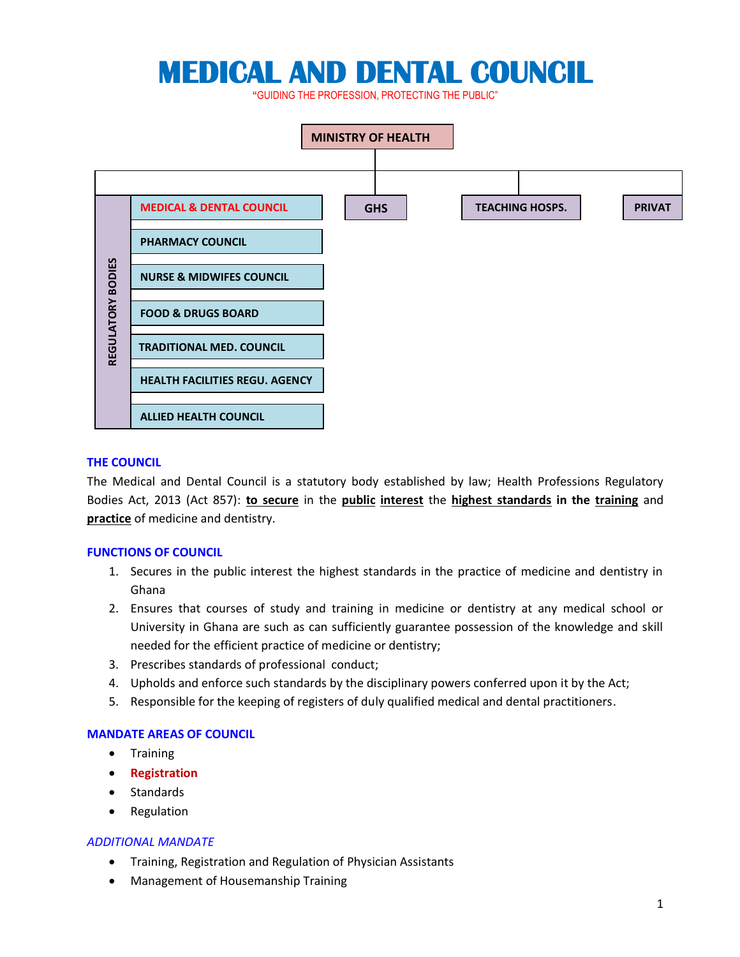# **MEDICAL AND DENTAL COUNCIL**

**"**GUIDING THE PROFESSION, PROTECTING THE PUBLIC"



#### **THE COUNCIL**

The Medical and Dental Council is a statutory body established by law; Health Professions Regulatory Bodies Act, 2013 (Act 857): **to secure** in the **public interest** the **highest standards in the training** and **practice** of medicine and dentistry.

#### **FUNCTIONS OF COUNCIL**

- 1. Secures in the public interest the highest standards in the practice of medicine and dentistry in Ghana
- 2. Ensures that courses of study and training in medicine or dentistry at any medical school or University in Ghana are such as can sufficiently guarantee possession of the knowledge and skill needed for the efficient practice of medicine or dentistry;
- 3. Prescribes standards of professional conduct;
- 4. Upholds and enforce such standards by the disciplinary powers conferred upon it by the Act;
- 5. Responsible for the keeping of registers of duly qualified medical and dental practitioners.

#### **MANDATE AREAS OF COUNCIL**

- Training
- **Registration**
- Standards
- Regulation

#### *ADDITIONAL MANDATE*

- Training, Registration and Regulation of Physician Assistants
- Management of Housemanship Training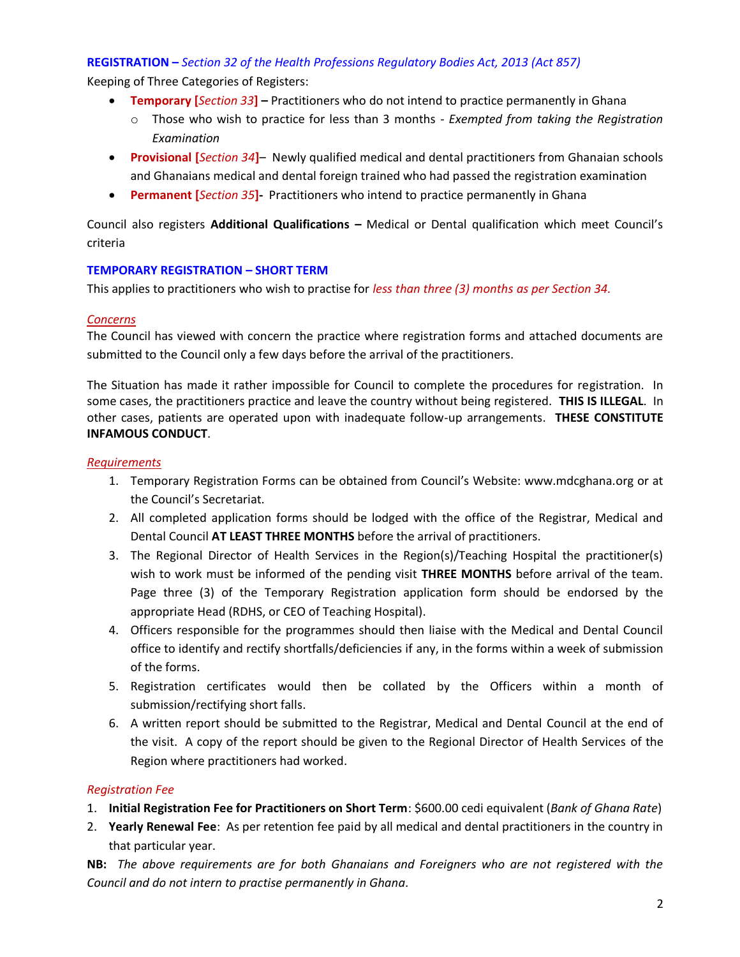# **REGISTRATION –** *Section 32 of the Health Professions Regulatory Bodies Act, 2013 (Act 857)*

Keeping of Three Categories of Registers:

- **Temporary [***Section 33***] –** Practitioners who do not intend to practice permanently in Ghana
	- o Those who wish to practice for less than 3 months *Exempted from taking the Registration Examination*
- **Provisional [***Section 34***]**–Newly qualified medical and dental practitioners from Ghanaian schools and Ghanaians medical and dental foreign trained who had passed the registration examination
- **Permanent [***Section 35***]-** Practitioners who intend to practice permanently in Ghana

Council also registers **Additional Qualifications –** Medical or Dental qualification which meet Council's criteria

#### **TEMPORARY REGISTRATION – SHORT TERM**

This applies to practitioners who wish to practise for *less than three (3) months as per Section 34.*

#### *Concerns*

The Council has viewed with concern the practice where registration forms and attached documents are submitted to the Council only a few days before the arrival of the practitioners.

The Situation has made it rather impossible for Council to complete the procedures for registration. In some cases, the practitioners practice and leave the country without being registered. **THIS IS ILLEGAL**. In other cases, patients are operated upon with inadequate follow-up arrangements. **THESE CONSTITUTE INFAMOUS CONDUCT**.

#### *Requirements*

- 1. Temporary Registration Forms can be obtained from Council's Website: www.mdcghana.org or at the Council's Secretariat.
- 2. All completed application forms should be lodged with the office of the Registrar, Medical and Dental Council **AT LEAST THREE MONTHS** before the arrival of practitioners.
- 3. The Regional Director of Health Services in the Region(s)/Teaching Hospital the practitioner(s) wish to work must be informed of the pending visit **THREE MONTHS** before arrival of the team. Page three (3) of the Temporary Registration application form should be endorsed by the appropriate Head (RDHS, or CEO of Teaching Hospital).
- 4. Officers responsible for the programmes should then liaise with the Medical and Dental Council office to identify and rectify shortfalls/deficiencies if any, in the forms within a week of submission of the forms.
- 5. Registration certificates would then be collated by the Officers within a month of submission/rectifying short falls.
- 6. A written report should be submitted to the Registrar, Medical and Dental Council at the end of the visit. A copy of the report should be given to the Regional Director of Health Services of the Region where practitioners had worked.

## *Registration Fee*

- 1. **Initial Registration Fee for Practitioners on Short Term**: \$600.00 cedi equivalent (*Bank of Ghana Rate*)
- 2. **Yearly Renewal Fee**: As per retention fee paid by all medical and dental practitioners in the country in that particular year.

**NB:** *The above requirements are for both Ghanaians and Foreigners who are not registered with the Council and do not intern to practise permanently in Ghana.*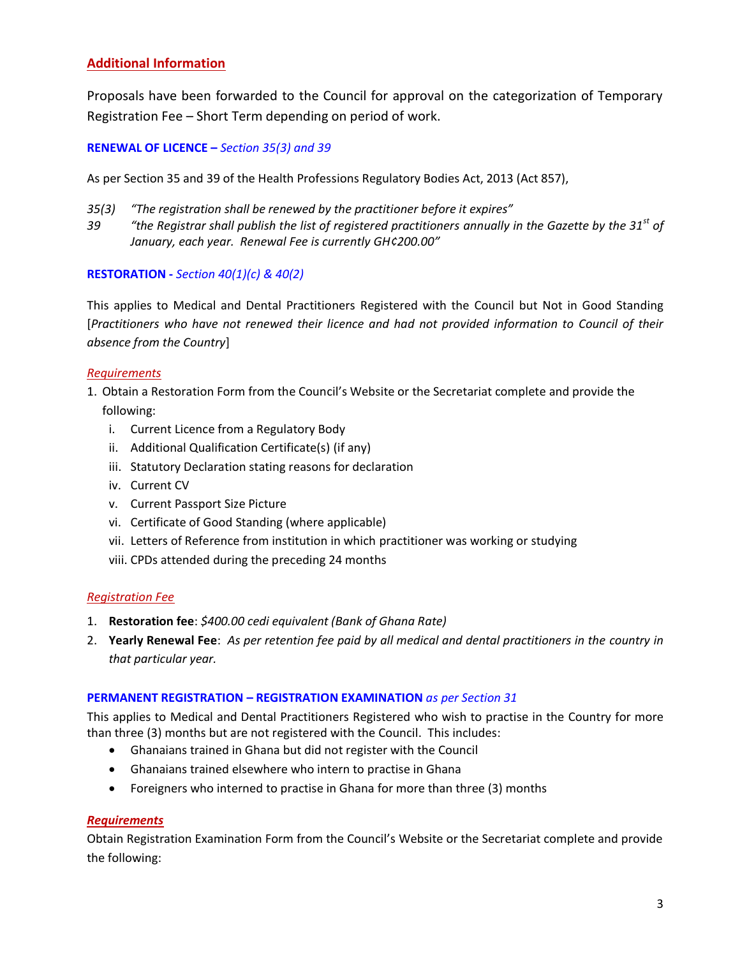# **Additional Information**

Proposals have been forwarded to the Council for approval on the categorization of Temporary Registration Fee – Short Term depending on period of work.

#### **RENEWAL OF LICENCE –** *Section 35(3) and 39*

As per Section 35 and 39 of the Health Professions Regulatory Bodies Act, 2013 (Act 857),

- *35(3) "The registration shall be renewed by the practitioner before it expires"*
- *39 "the Registrar shall publish the list of registered practitioners annually in the Gazette by the 31st of January, each year. Renewal Fee is currently GH¢200.00"*

## **RESTORATION -** *Section 40(1)(c) & 40(2)*

This applies to Medical and Dental Practitioners Registered with the Council but Not in Good Standing [*Practitioners who have not renewed their licence and had not provided information to Council of their absence from the Country*]

#### *Requirements*

- 1. Obtain a Restoration Form from the Council's Website or the Secretariat complete and provide the following:
	- i. Current Licence from a Regulatory Body
	- ii. Additional Qualification Certificate(s) (if any)
	- iii. Statutory Declaration stating reasons for declaration
	- iv. Current CV
	- v. Current Passport Size Picture
	- vi. Certificate of Good Standing (where applicable)
	- vii. Letters of Reference from institution in which practitioner was working or studying
	- viii. CPDs attended during the preceding 24 months

#### *Registration Fee*

- 1. **Restoration fee**: *\$400.00 cedi equivalent (Bank of Ghana Rate)*
- 2. **Yearly Renewal Fee**: *As per retention fee paid by all medical and dental practitioners in the country in that particular year.*

#### **PERMANENT REGISTRATION – REGISTRATION EXAMINATION** *as per Section 31*

This applies to Medical and Dental Practitioners Registered who wish to practise in the Country for more than three (3) months but are not registered with the Council. This includes:

- Ghanaians trained in Ghana but did not register with the Council
- Ghanaians trained elsewhere who intern to practise in Ghana
- Foreigners who interned to practise in Ghana for more than three (3) months

#### *Requirements*

Obtain Registration Examination Form from the Council's Website or the Secretariat complete and provide the following: